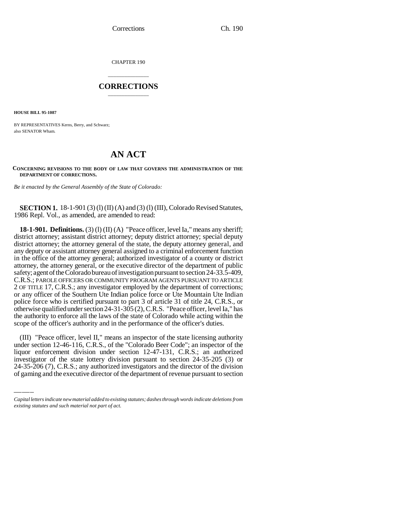CHAPTER 190

# \_\_\_\_\_\_\_\_\_\_\_\_\_\_\_ **CORRECTIONS** \_\_\_\_\_\_\_\_\_\_\_\_\_\_\_

**HOUSE BILL 95-1087**

BY REPRESENTATIVES Kerns, Berry, and Schwarz; also SENATOR Wham.

# **AN ACT**

**CONCERNING REVISIONS TO THE BODY OF LAW THAT GOVERNS THE ADMINISTRATION OF THE DEPARTMENT OF CORRECTIONS.**

*Be it enacted by the General Assembly of the State of Colorado:*

**SECTION 1.** 18-1-901 (3) (1) (II) (A) and (3) (1) (III), Colorado Revised Statutes, 1986 Repl. Vol., as amended, are amended to read:

**18-1-901. Definitions.** (3) (l) (II) (A) "Peace officer, level Ia," means any sheriff; district attorney; assistant district attorney; deputy district attorney; special deputy district attorney; the attorney general of the state, the deputy attorney general, and any deputy or assistant attorney general assigned to a criminal enforcement function in the office of the attorney general; authorized investigator of a county or district attorney, the attorney general, or the executive director of the department of public safety; agent of the Colorado bureau of investigation pursuant to section 24-33.5-409, C.R.S.; PAROLE OFFICERS OR COMMUNITY PROGRAM AGENTS PURSUANT TO ARTICLE 2 OF TITLE 17, C.R.S.; any investigator employed by the department of corrections; or any officer of the Southern Ute Indian police force or Ute Mountain Ute Indian police force who is certified pursuant to part 3 of article 31 of title 24, C.R.S., or otherwise qualified under section 24-31-305 (2), C.R.S. "Peace officer, level Ia," has the authority to enforce all the laws of the state of Colorado while acting within the scope of the officer's authority and in the performance of the officer's duties.

under section 12-46-116, C.R.S., of the "Colorado Beer Code"; an inspector of the (III) "Peace officer, level II," means an inspector of the state licensing authority liquor enforcement division under section 12-47-131, C.R.S.; an authorized investigator of the state lottery division pursuant to section 24-35-205 (3) or 24-35-206 (7), C.R.S.; any authorized investigators and the director of the division of gaming and the executive director of the department of revenue pursuant to section

*Capital letters indicate new material added to existing statutes; dashes through words indicate deletions from existing statutes and such material not part of act.*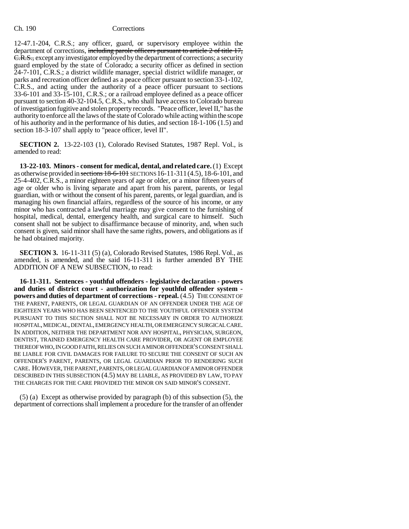12-47.1-204, C.R.S.; any officer, guard, or supervisory employee within the department of corrections, including parole officers pursuant to article 2 of title 17, C.R.S., except any investigator employed by the department of corrections; a security guard employed by the state of Colorado; a security officer as defined in section 24-7-101, C.R.S.; a district wildlife manager, special district wildlife manager, or parks and recreation officer defined as a peace officer pursuant to section 33-1-102, C.R.S., and acting under the authority of a peace officer pursuant to sections 33-6-101 and 33-15-101, C.R.S.; or a railroad employee defined as a peace officer pursuant to section 40-32-104.5, C.R.S., who shall have access to Colorado bureau of investigation fugitive and stolen property records. "Peace officer, level II," has the authority to enforce all the laws of the state of Colorado while acting within the scope of his authority and in the performance of his duties, and section 18-1-106 (1.5) and section 18-3-107 shall apply to "peace officer, level II".

**SECTION 2.** 13-22-103 (1), Colorado Revised Statutes, 1987 Repl. Vol., is amended to read:

**13-22-103. Minors - consent for medical, dental, and related care.** (1) Except as otherwise provided in sections 18-6-101 SECTIONS 16-11-311(4.5), 18-6-101, and 25-4-402, C.R.S., a minor eighteen years of age or older, or a minor fifteen years of age or older who is living separate and apart from his parent, parents, or legal guardian, with or without the consent of his parent, parents, or legal guardian, and is managing his own financial affairs, regardless of the source of his income, or any minor who has contracted a lawful marriage may give consent to the furnishing of hospital, medical, dental, emergency health, and surgical care to himself. Such consent shall not be subject to disaffirmance because of minority, and, when such consent is given, said minor shall have the same rights, powers, and obligations as if he had obtained majority.

**SECTION 3.** 16-11-311 (5) (a), Colorado Revised Statutes, 1986 Repl. Vol., as amended, is amended, and the said 16-11-311 is further amended BY THE ADDITION OF A NEW SUBSECTION, to read:

**16-11-311. Sentences - youthful offenders - legislative declaration - powers and duties of district court - authorization for youthful offender system powers and duties of department of corrections - repeal.** (4.5) THE CONSENT OF THE PARENT, PARENTS, OR LEGAL GUARDIAN OF AN OFFENDER UNDER THE AGE OF EIGHTEEN YEARS WHO HAS BEEN SENTENCED TO THE YOUTHFUL OFFENDER SYSTEM PURSUANT TO THIS SECTION SHALL NOT BE NECESSARY IN ORDER TO AUTHORIZE HOSPITAL, MEDICAL, DENTAL, EMERGENCY HEALTH, OR EMERGENCY SURGICAL CARE. IN ADDITION, NEITHER THE DEPARTMENT NOR ANY HOSPITAL, PHYSICIAN, SURGEON, DENTIST, TRAINED EMERGENCY HEALTH CARE PROVIDER, OR AGENT OR EMPLOYEE THEREOF WHO, IN GOOD FAITH, RELIES ON SUCH A MINOR OFFENDER'S CONSENT SHALL BE LIABLE FOR CIVIL DAMAGES FOR FAILURE TO SECURE THE CONSENT OF SUCH AN OFFENDER'S PARENT, PARENTS, OR LEGAL GUARDIAN PRIOR TO RENDERING SUCH CARE. HOWEVER, THE PARENT, PARENTS, OR LEGAL GUARDIAN OF A MINOR OFFENDER DESCRIBED IN THIS SUBSECTION (4.5) MAY BE LIABLE, AS PROVIDED BY LAW, TO PAY THE CHARGES FOR THE CARE PROVIDED THE MINOR ON SAID MINOR'S CONSENT.

(5) (a) Except as otherwise provided by paragraph (b) of this subsection (5), the department of corrections shall implement a procedure for the transfer of an offender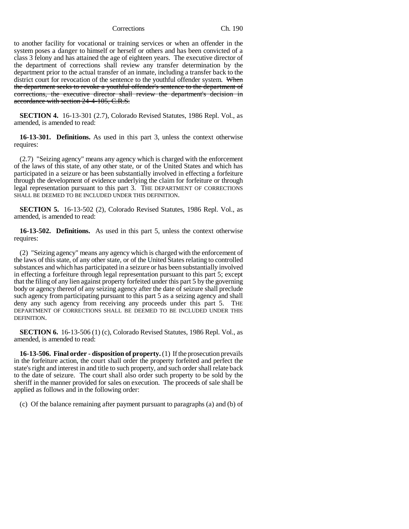to another facility for vocational or training services or when an offender in the system poses a danger to himself or herself or others and has been convicted of a class 3 felony and has attained the age of eighteen years. The executive director of the department of corrections shall review any transfer determination by the department prior to the actual transfer of an inmate, including a transfer back to the district court for revocation of the sentence to the youthful offender system. When the department seeks to revoke a youthful offender's sentence to the department of corrections, the executive director shall review the department's decision in accordance with section 24-4-105, C.R.S.

**SECTION 4.** 16-13-301 (2.7), Colorado Revised Statutes, 1986 Repl. Vol., as amended, is amended to read:

**16-13-301. Definitions.** As used in this part 3, unless the context otherwise requires:

(2.7) "Seizing agency" means any agency which is charged with the enforcement of the laws of this state, of any other state, or of the United States and which has participated in a seizure or has been substantially involved in effecting a forfeiture through the development of evidence underlying the claim for forfeiture or through legal representation pursuant to this part 3. THE DEPARTMENT OF CORRECTIONS SHALL BE DEEMED TO BE INCLUDED UNDER THIS DEFINITION.

**SECTION 5.** 16-13-502 (2), Colorado Revised Statutes, 1986 Repl. Vol., as amended, is amended to read:

**16-13-502. Definitions.** As used in this part 5, unless the context otherwise requires:

(2) "Seizing agency" means any agency which is charged with the enforcement of the laws of this state, of any other state, or of the United States relating to controlled substances and which has participated in a seizure or has been substantially involved in effecting a forfeiture through legal representation pursuant to this part 5; except that the filing of any lien against property forfeited under this part 5 by the governing body or agency thereof of any seizing agency after the date of seizure shall preclude such agency from participating pursuant to this part 5 as a seizing agency and shall deny any such agency from receiving any proceeds under this part 5. THE DEPARTMENT OF CORRECTIONS SHALL BE DEEMED TO BE INCLUDED UNDER THIS DEFINITION.

**SECTION 6.** 16-13-506 (1) (c), Colorado Revised Statutes, 1986 Repl. Vol., as amended, is amended to read:

**16-13-506. Final order - disposition of property.** (1) If the prosecution prevails in the forfeiture action, the court shall order the property forfeited and perfect the state's right and interest in and title to such property, and such order shall relate back to the date of seizure. The court shall also order such property to be sold by the sheriff in the manner provided for sales on execution. The proceeds of sale shall be applied as follows and in the following order:

(c) Of the balance remaining after payment pursuant to paragraphs (a) and (b) of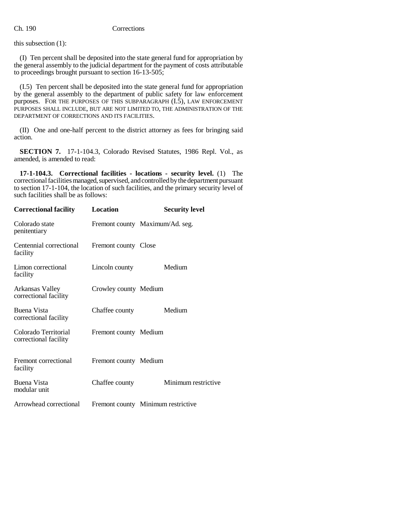this subsection (1):

(I) Ten percent shall be deposited into the state general fund for appropriation by the general assembly to the judicial department for the payment of costs attributable to proceedings brought pursuant to section 16-13-505;

(I.5) Ten percent shall be deposited into the state general fund for appropriation by the general assembly to the department of public safety for law enforcement purposes. FOR THE PURPOSES OF THIS SUBPARAGRAPH (I.5), LAW ENFORCEMENT PURPOSES SHALL INCLUDE, BUT ARE NOT LIMITED TO, THE ADMINISTRATION OF THE DEPARTMENT OF CORRECTIONS AND ITS FACILITIES.

(II) One and one-half percent to the district attorney as fees for bringing said action.

**SECTION 7.** 17-1-104.3, Colorado Revised Statutes, 1986 Repl. Vol., as amended, is amended to read:

**17-1-104.3. Correctional facilities - locations - security level.** (1) The correctional facilities managed, supervised, and controlled by the department pursuant to section 17-1-104, the location of such facilities, and the primary security level of such facilities shall be as follows:

| <b>Correctional facility</b>                  | Location              | <b>Security level</b>              |
|-----------------------------------------------|-----------------------|------------------------------------|
| Colorado state<br>penitentiary                |                       | Fremont county Maximum/Ad. seg.    |
| Centennial correctional<br>facility           | Fremont county Close  |                                    |
| Limon correctional<br>facility                | Lincoln county        | Medium                             |
| Arkansas Valley<br>correctional facility      | Crowley county Medium |                                    |
| Buena Vista<br>correctional facility          | Chaffee county        | Medium                             |
| Colorado Territorial<br>correctional facility | Fremont county Medium |                                    |
| Fremont correctional<br>facility              | Fremont county Medium |                                    |
| <b>Buena Vista</b><br>modular unit            | Chaffee county        | Minimum restrictive                |
| Arrowhead correctional                        |                       | Fremont county Minimum restrictive |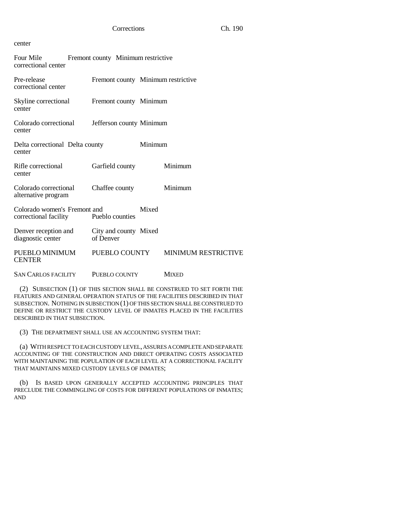# center

| Four Mile<br>correctional center                      | Fremont county Minimum restrictive |         |                            |
|-------------------------------------------------------|------------------------------------|---------|----------------------------|
| Pre-release<br>correctional center                    | Fremont county Minimum restrictive |         |                            |
| Skyline correctional<br>center                        | Fremont county Minimum             |         |                            |
| Colorado correctional<br>center                       | Jefferson county Minimum           |         |                            |
| Delta correctional Delta county<br>center             |                                    | Minimum |                            |
| Rifle correctional<br>center                          | Garfield county                    |         | Minimum                    |
| Colorado correctional<br>alternative program          | Chaffee county                     |         | Minimum                    |
| Colorado women's Fremont and<br>correctional facility | Pueblo counties                    | Mixed   |                            |
| Denver reception and<br>diagnostic center             | City and county Mixed<br>of Denver |         |                            |
| PUEBLO MINIMUM<br><b>CENTER</b>                       | PUEBLO COUNTY                      |         | <b>MINIMUM RESTRICTIVE</b> |
| <b>SAN CARLOS FACILITY</b>                            | PUEBLO COUNTY                      |         | <b>MIXED</b>               |

(2) SUBSECTION (1) OF THIS SECTION SHALL BE CONSTRUED TO SET FORTH THE FEATURES AND GENERAL OPERATION STATUS OF THE FACILITIES DESCRIBED IN THAT SUBSECTION. NOTHING IN SUBSECTION (1) OF THIS SECTION SHALL BE CONSTRUED TO DEFINE OR RESTRICT THE CUSTODY LEVEL OF INMATES PLACED IN THE FACILITIES DESCRIBED IN THAT SUBSECTION.

(3) THE DEPARTMENT SHALL USE AN ACCOUNTING SYSTEM THAT:

(a) WITH RESPECT TO EACH CUSTODY LEVEL, ASSURES A COMPLETE AND SEPARATE ACCOUNTING OF THE CONSTRUCTION AND DIRECT OPERATING COSTS ASSOCIATED WITH MAINTAINING THE POPULATION OF EACH LEVEL AT A CORRECTIONAL FACILITY THAT MAINTAINS MIXED CUSTODY LEVELS OF INMATES;

(b) IS BASED UPON GENERALLY ACCEPTED ACCOUNTING PRINCIPLES THAT PRECLUDE THE COMMINGLING OF COSTS FOR DIFFERENT POPULATIONS OF INMATES; AND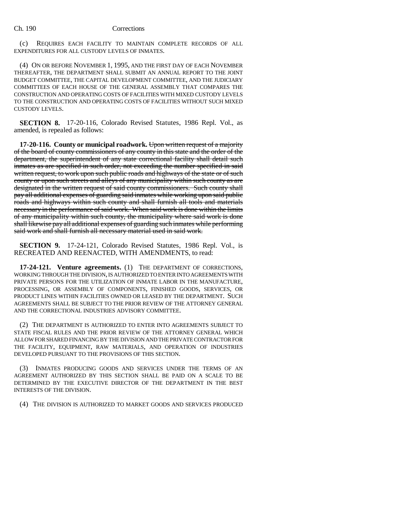(c) REQUIRES EACH FACILITY TO MAINTAIN COMPLETE RECORDS OF ALL EXPENDITURES FOR ALL CUSTODY LEVELS OF INMATES.

(4) ON OR BEFORE NOVEMBER 1, 1995, AND THE FIRST DAY OF EACH NOVEMBER THEREAFTER, THE DEPARTMENT SHALL SUBMIT AN ANNUAL REPORT TO THE JOINT BUDGET COMMITTEE, THE CAPITAL DEVELOPMENT COMMITTEE, AND THE JUDICIARY COMMITTEES OF EACH HOUSE OF THE GENERAL ASSEMBLY THAT COMPARES THE CONSTRUCTION AND OPERATING COSTS OF FACILITIES WITH MIXED CUSTODY LEVELS TO THE CONSTRUCTION AND OPERATING COSTS OF FACILITIES WITHOUT SUCH MIXED CUSTODY LEVELS.

**SECTION 8.** 17-20-116, Colorado Revised Statutes, 1986 Repl. Vol., as amended, is repealed as follows:

**17-20-116. County or municipal roadwork.** Upon written request of a majority of the board of county commissioners of any county in this state and the order of the department, the superintendent of any state correctional facility shall detail such inmates as are specified in such order, not exceeding the number specified in said written request, to work upon such public roads and highways of the state or of such county or upon such streets and alleys of any municipality within such county as are designated in the written request of said county commissioners. Such county shall pay all additional expenses of guarding said inmates while working upon said public roads and highways within such county and shall furnish all tools and materials necessary in the performance of said work. When said work is done within the limits of any municipality within such county, the municipality where said work is done shall likewise pay all additional expenses of guarding such inmates while performing said work and shall furnish all necessary material used in said work.

**SECTION 9.** 17-24-121, Colorado Revised Statutes, 1986 Repl. Vol., is RECREATED AND REENACTED, WITH AMENDMENTS, to read:

**17-24-121. Venture agreements.** (1) THE DEPARTMENT OF CORRECTIONS, WORKING THROUGH THE DIVISION, IS AUTHORIZED TO ENTER INTO AGREEMENTS WITH PRIVATE PERSONS FOR THE UTILIZATION OF INMATE LABOR IN THE MANUFACTURE, PROCESSING, OR ASSEMBLY OF COMPONENTS, FINISHED GOODS, SERVICES, OR PRODUCT LINES WITHIN FACILITIES OWNED OR LEASED BY THE DEPARTMENT. SUCH AGREEMENTS SHALL BE SUBJECT TO THE PRIOR REVIEW OF THE ATTORNEY GENERAL AND THE CORRECTIONAL INDUSTRIES ADVISORY COMMITTEE.

(2) THE DEPARTMENT IS AUTHORIZED TO ENTER INTO AGREEMENTS SUBJECT TO STATE FISCAL RULES AND THE PRIOR REVIEW OF THE ATTORNEY GENERAL WHICH ALLOW FOR SHARED FINANCING BY THE DIVISION AND THE PRIVATE CONTRACTOR FOR THE FACILITY, EQUIPMENT, RAW MATERIALS, AND OPERATION OF INDUSTRIES DEVELOPED PURSUANT TO THE PROVISIONS OF THIS SECTION.

(3) INMATES PRODUCING GOODS AND SERVICES UNDER THE TERMS OF AN AGREEMENT AUTHORIZED BY THIS SECTION SHALL BE PAID ON A SCALE TO BE DETERMINED BY THE EXECUTIVE DIRECTOR OF THE DEPARTMENT IN THE BEST INTERESTS OF THE DIVISION.

(4) THE DIVISION IS AUTHORIZED TO MARKET GOODS AND SERVICES PRODUCED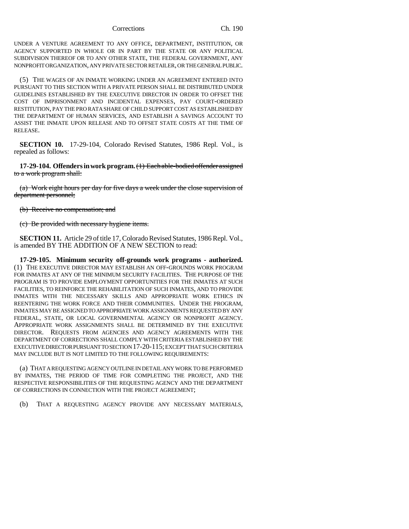UNDER A VENTURE AGREEMENT TO ANY OFFICE, DEPARTMENT, INSTITUTION, OR AGENCY SUPPORTED IN WHOLE OR IN PART BY THE STATE OR ANY POLITICAL SUBDIVISION THEREOF OR TO ANY OTHER STATE, THE FEDERAL GOVERNMENT, ANY NONPROFIT ORGANIZATION, ANY PRIVATE SECTOR RETAILER, OR THE GENERAL PUBLIC.

(5) THE WAGES OF AN INMATE WORKING UNDER AN AGREEMENT ENTERED INTO PURSUANT TO THIS SECTION WITH A PRIVATE PERSON SHALL BE DISTRIBUTED UNDER GUIDELINES ESTABLISHED BY THE EXECUTIVE DIRECTOR IN ORDER TO OFFSET THE COST OF IMPRISONMENT AND INCIDENTAL EXPENSES, PAY COURT-ORDERED RESTITUTION, PAY THE PRO RATA SHARE OF CHILD SUPPORT COST AS ESTABLISHED BY THE DEPARTMENT OF HUMAN SERVICES, AND ESTABLISH A SAVINGS ACCOUNT TO ASSIST THE INMATE UPON RELEASE AND TO OFFSET STATE COSTS AT THE TIME OF RELEASE.

**SECTION 10.** 17-29-104, Colorado Revised Statutes, 1986 Repl. Vol., is repealed as follows:

**17-29-104. Offenders in work program.** (1) Each able-bodied offender assigned to a work program shall:

(a) Work eight hours per day for five days a week under the close supervision of department personnel;

(b) Receive no compensation; and

(c) Be provided with necessary hygiene items.

**SECTION 11.** Article 29 of title 17, Colorado Revised Statutes, 1986 Repl. Vol., is amended BY THE ADDITION OF A NEW SECTION to read:

**17-29-105. Minimum security off-grounds work programs - authorized.** (1) THE EXECUTIVE DIRECTOR MAY ESTABLISH AN OFF-GROUNDS WORK PROGRAM FOR INMATES AT ANY OF THE MINIMUM SECURITY FACILITIES. THE PURPOSE OF THE PROGRAM IS TO PROVIDE EMPLOYMENT OPPORTUNITIES FOR THE INMATES AT SUCH FACILITIES, TO REINFORCE THE REHABILITATION OF SUCH INMATES, AND TO PROVIDE INMATES WITH THE NECESSARY SKILLS AND APPROPRIATE WORK ETHICS IN REENTERING THE WORK FORCE AND THEIR COMMUNITIES. UNDER THE PROGRAM, INMATES MAY BE ASSIGNED TO APPROPRIATE WORK ASSIGNMENTS REQUESTED BY ANY FEDERAL, STATE, OR LOCAL GOVERNMENTAL AGENCY OR NONPROFIT AGENCY. APPROPRIATE WORK ASSIGNMENTS SHALL BE DETERMINED BY THE EXECUTIVE DIRECTOR. REQUESTS FROM AGENCIES AND AGENCY AGREEMENTS WITH THE DEPARTMENT OF CORRECTIONS SHALL COMPLY WITH CRITERIA ESTABLISHED BY THE EXECUTIVE DIRECTOR PURSUANT TO SECTION 17-20-115; EXCEPT THAT SUCH CRITERIA MAY INCLUDE BUT IS NOT LIMITED TO THE FOLLOWING REQUIREMENTS:

(a) THAT A REQUESTING AGENCY OUTLINE IN DETAIL ANY WORK TO BE PERFORMED BY INMATES, THE PERIOD OF TIME FOR COMPLETING THE PROJECT, AND THE RESPECTIVE RESPONSIBILITIES OF THE REQUESTING AGENCY AND THE DEPARTMENT OF CORRECTIONS IN CONNECTION WITH THE PROJECT AGREEMENT;

(b) THAT A REQUESTING AGENCY PROVIDE ANY NECESSARY MATERIALS,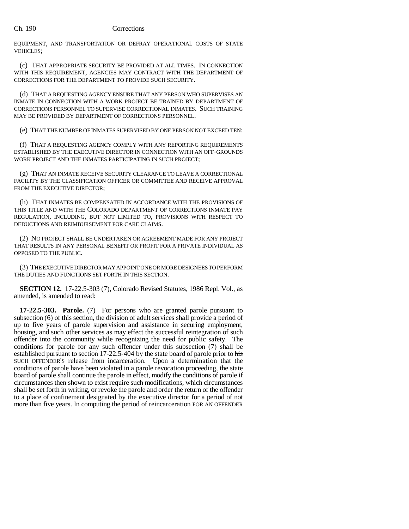EQUIPMENT, AND TRANSPORTATION OR DEFRAY OPERATIONAL COSTS OF STATE VEHICLES;

(c) THAT APPROPRIATE SECURITY BE PROVIDED AT ALL TIMES. IN CONNECTION WITH THIS REQUIREMENT, AGENCIES MAY CONTRACT WITH THE DEPARTMENT OF CORRECTIONS FOR THE DEPARTMENT TO PROVIDE SUCH SECURITY.

(d) THAT A REQUESTING AGENCY ENSURE THAT ANY PERSON WHO SUPERVISES AN INMATE IN CONNECTION WITH A WORK PROJECT BE TRAINED BY DEPARTMENT OF CORRECTIONS PERSONNEL TO SUPERVISE CORRECTIONAL INMATES. SUCH TRAINING MAY BE PROVIDED BY DEPARTMENT OF CORRECTIONS PERSONNEL.

(e) THAT THE NUMBER OF INMATES SUPERVISED BY ONE PERSON NOT EXCEED TEN;

(f) THAT A REQUESTING AGENCY COMPLY WITH ANY REPORTING REQUIREMENTS ESTABLISHED BY THE EXECUTIVE DIRECTOR IN CONNECTION WITH AN OFF-GROUNDS WORK PROJECT AND THE INMATES PARTICIPATING IN SUCH PROJECT;

(g) THAT AN INMATE RECEIVE SECURITY CLEARANCE TO LEAVE A CORRECTIONAL FACILITY BY THE CLASSIFICATION OFFICER OR COMMITTEE AND RECEIVE APPROVAL FROM THE EXECUTIVE DIRECTOR;

(h) THAT INMATES BE COMPENSATED IN ACCORDANCE WITH THE PROVISIONS OF THIS TITLE AND WITH THE COLORADO DEPARTMENT OF CORRECTIONS INMATE PAY REGULATION, INCLUDING, BUT NOT LIMITED TO, PROVISIONS WITH RESPECT TO DEDUCTIONS AND REIMBURSEMENT FOR CARE CLAIMS.

(2) NO PROJECT SHALL BE UNDERTAKEN OR AGREEMENT MADE FOR ANY PROJECT THAT RESULTS IN ANY PERSONAL BENEFIT OR PROFIT FOR A PRIVATE INDIVIDUAL AS OPPOSED TO THE PUBLIC.

(3) THE EXECUTIVE DIRECTOR MAY APPOINT ONE OR MORE DESIGNEES TO PERFORM THE DUTIES AND FUNCTIONS SET FORTH IN THIS SECTION.

**SECTION 12.** 17-22.5-303 (7), Colorado Revised Statutes, 1986 Repl. Vol., as amended, is amended to read:

**17-22.5-303. Parole.** (7) For persons who are granted parole pursuant to subsection (6) of this section, the division of adult services shall provide a period of up to five years of parole supervision and assistance in securing employment, housing, and such other services as may effect the successful reintegration of such offender into the community while recognizing the need for public safety. The conditions for parole for any such offender under this subsection (7) shall be established pursuant to section 17-22.5-404 by the state board of parole prior to his SUCH OFFENDER'S release from incarceration. Upon a determination that the conditions of parole have been violated in a parole revocation proceeding, the state board of parole shall continue the parole in effect, modify the conditions of parole if circumstances then shown to exist require such modifications, which circumstances shall be set forth in writing, or revoke the parole and order the return of the offender to a place of confinement designated by the executive director for a period of not more than five years. In computing the period of reincarceration FOR AN OFFENDER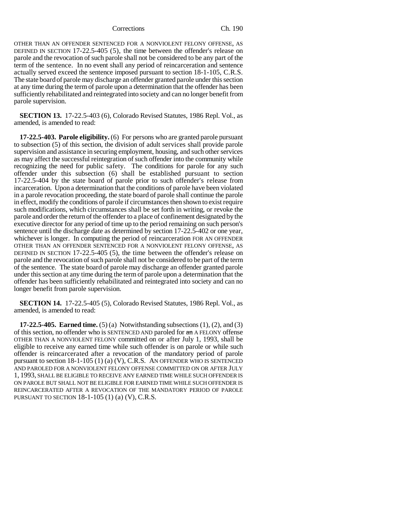OTHER THAN AN OFFENDER SENTENCED FOR A NONVIOLENT FELONY OFFENSE, AS DEFINED IN SECTION 17-22.5-405 (5), the time between the offender's release on parole and the revocation of such parole shall not be considered to be any part of the term of the sentence. In no event shall any period of reincarceration and sentence actually served exceed the sentence imposed pursuant to section 18-1-105, C.R.S. The state board of parole may discharge an offender granted parole under this section at any time during the term of parole upon a determination that the offender has been sufficiently rehabilitated and reintegrated into society and can no longer benefit from parole supervision.

**SECTION 13.** 17-22.5-403 (6), Colorado Revised Statutes, 1986 Repl. Vol., as amended, is amended to read:

**17-22.5-403. Parole eligibility.** (6) For persons who are granted parole pursuant to subsection (5) of this section, the division of adult services shall provide parole supervision and assistance in securing employment, housing, and such other services as may affect the successful reintegration of such offender into the community while recognizing the need for public safety. The conditions for parole for any such offender under this subsection (6) shall be established pursuant to section 17-22.5-404 by the state board of parole prior to such offender's release from incarceration. Upon a determination that the conditions of parole have been violated in a parole revocation proceeding, the state board of parole shall continue the parole in effect, modify the conditions of parole if circumstances then shown to exist require such modifications, which circumstances shall be set forth in writing, or revoke the parole and order the return of the offender to a place of confinement designated by the executive director for any period of time up to the period remaining on such person's sentence until the discharge date as determined by section 17-22.5-402 or one year, whichever is longer. In computing the period of reincarceration FOR AN OFFENDER OTHER THAN AN OFFENDER SENTENCED FOR A NONVIOLENT FELONY OFFENSE, AS DEFINED IN SECTION 17-22.5-405 (5), the time between the offender's release on parole and the revocation of such parole shall not be considered to be part of the term of the sentence. The state board of parole may discharge an offender granted parole under this section at any time during the term of parole upon a determination that the offender has been sufficiently rehabilitated and reintegrated into society and can no longer benefit from parole supervision.

**SECTION 14.** 17-22.5-405 (5), Colorado Revised Statutes, 1986 Repl. Vol., as amended, is amended to read:

**17-22.5-405. Earned time.** (5) (a) Notwithstanding subsections (1), (2), and (3) of this section, no offender who is SENTENCED AND paroled for an A FELONY offense OTHER THAN A NONVIOLENT FELONY committed on or after July 1, 1993, shall be eligible to receive any earned time while such offender is on parole or while such offender is reincarcerated after a revocation of the mandatory period of parole pursuant to section  $18-1-105$  (1) (a) (V), C.R.S. AN OFFENDER WHO IS SENTENCED AND PAROLED FOR A NONVIOLENT FELONY OFFENSE COMMITTED ON OR AFTER JULY 1, 1993, SHALL BE ELIGIBLE TO RECEIVE ANY EARNED TIME WHILE SUCH OFFENDER IS ON PAROLE BUT SHALL NOT BE ELIGIBLE FOR EARNED TIME WHILE SUCH OFFENDER IS REINCARCERATED AFTER A REVOCATION OF THE MANDATORY PERIOD OF PAROLE PURSUANT TO SECTION 18-1-105 (1) (a) (V), C.R.S.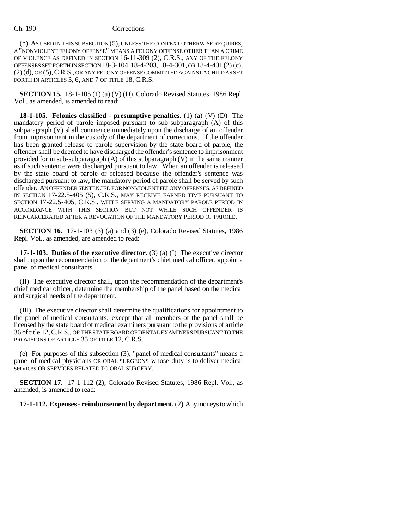(b) AS USED IN THIS SUBSECTION (5), UNLESS THE CONTEXT OTHERWISE REQUIRES, A "NONVIOLENT FELONY OFFENSE" MEANS A FELONY OFFENSE OTHER THAN A CRIME OF VIOLENCE AS DEFINED IN SECTION 16-11-309 (2), C.R.S., ANY OF THE FELONY OFFENSES SET FORTH IN SECTION 18-3-104,18-4-203, 18-4-301, OR 18-4-401 (2) (c), (2) (d), OR (5),C.R.S., OR ANY FELONY OFFENSE COMMITTED AGAINST A CHILD AS SET FORTH IN ARTICLES 3, 6, AND 7 OF TITLE 18, C.R.S.

**SECTION 15.** 18-1-105 (1) (a) (V) (D), Colorado Revised Statutes, 1986 Repl. Vol., as amended, is amended to read:

**18-1-105. Felonies classified - presumptive penalties.** (1) (a) (V) (D) The mandatory period of parole imposed pursuant to sub-subparagraph (A) of this subparagraph (V) shall commence immediately upon the discharge of an offender from imprisonment in the custody of the department of corrections. If the offender has been granted release to parole supervision by the state board of parole, the offender shall be deemed to have discharged the offender's sentence to imprisonment provided for in sub-subparagraph (A) of this subparagraph (V) in the same manner as if such sentence were discharged pursuant to law. When an offender is released by the state board of parole or released because the offender's sentence was discharged pursuant to law, the mandatory period of parole shall be served by such offender. AN OFFENDER SENTENCED FOR NONVIOLENT FELONY OFFENSES, AS DEFINED IN SECTION 17-22.5-405 (5), C.R.S., MAY RECEIVE EARNED TIME PURSUANT TO SECTION 17-22.5-405, C.R.S., WHILE SERVING A MANDATORY PAROLE PERIOD IN ACCORDANCE WITH THIS SECTION BUT NOT WHILE SUCH OFFENDER IS REINCARCERATED AFTER A REVOCATION OF THE MANDATORY PERIOD OF PAROLE.

**SECTION 16.** 17-1-103 (3) (a) and (3) (e), Colorado Revised Statutes, 1986 Repl. Vol., as amended, are amended to read:

**17-1-103. Duties of the executive director.** (3) (a) (I) The executive director shall, upon the recommendation of the department's chief medical officer, appoint a panel of medical consultants.

(II) The executive director shall, upon the recommendation of the department's chief medical officer, determine the membership of the panel based on the medical and surgical needs of the department.

(III) The executive director shall determine the qualifications for appointment to the panel of medical consultants; except that all members of the panel shall be licensed by the state board of medical examiners pursuant to the provisions of article 36 of title 12, C.R.S., OR THE STATE BOARD OF DENTAL EXAMINERS PURSUANT TO THE PROVISIONS OF ARTICLE 35 OF TITLE 12, C.R.S.

(e) For purposes of this subsection (3), "panel of medical consultants" means a panel of medical physicians OR ORAL SURGEONS whose duty is to deliver medical services OR SERVICES RELATED TO ORAL SURGERY.

**SECTION 17.** 17-1-112 (2), Colorado Revised Statutes, 1986 Repl. Vol., as amended, is amended to read:

**17-1-112. Expenses - reimbursement by department.** (2) Any moneys to which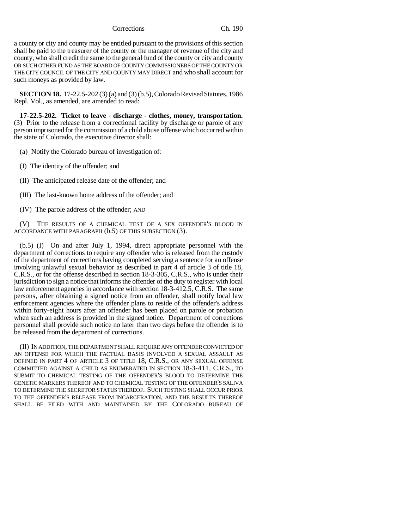a county or city and county may be entitled pursuant to the provisions of this section shall be paid to the treasurer of the county or the manager of revenue of the city and county, who shall credit the same to the general fund of the county or city and county OR SUCH OTHER FUND AS THE BOARD OF COUNTY COMMISSIONERS OF THE COUNTY OR THE CITY COUNCIL OF THE CITY AND COUNTY MAY DIRECT and who shall account for such moneys as provided by law.

**SECTION 18.** 17-22.5-202 (3) (a) and (3) (b.5), Colorado Revised Statutes, 1986 Repl. Vol., as amended, are amended to read:

**17-22.5-202. Ticket to leave - discharge - clothes, money, transportation.** (3) Prior to the release from a correctional facility by discharge or parole of any person imprisoned for the commission of a child abuse offense which occurred within the state of Colorado, the executive director shall:

(a) Notify the Colorado bureau of investigation of:

- (I) The identity of the offender; and
- (II) The anticipated release date of the offender; and
- (III) The last-known home address of the offender; and
- (IV) The parole address of the offender; AND

(V) THE RESULTS OF A CHEMICAL TEST OF A SEX OFFENDER'S BLOOD IN ACCORDANCE WITH PARAGRAPH (b.5) OF THIS SUBSECTION (3).

(b.5) (I) On and after July 1, 1994, direct appropriate personnel with the department of corrections to require any offender who is released from the custody of the department of corrections having completed serving a sentence for an offense involving unlawful sexual behavior as described in part 4 of article 3 of title 18, C.R.S., or for the offense described in section 18-3-305, C.R.S., who is under their jurisdiction to sign a notice that informs the offender of the duty to register with local law enforcement agencies in accordance with section 18-3-412.5, C.R.S. The same persons, after obtaining a signed notice from an offender, shall notify local law enforcement agencies where the offender plans to reside of the offender's address within forty-eight hours after an offender has been placed on parole or probation when such an address is provided in the signed notice. Department of corrections personnel shall provide such notice no later than two days before the offender is to be released from the department of corrections.

(II) IN ADDITION, THE DEPARTMENT SHALL REQUIRE ANY OFFENDER CONVICTED OF AN OFFENSE FOR WHICH THE FACTUAL BASIS INVOLVED A SEXUAL ASSAULT AS DEFINED IN PART 4 OF ARTICLE 3 OF TITLE 18, C.R.S., OR ANY SEXUAL OFFENSE COMMITTED AGAINST A CHILD AS ENUMERATED IN SECTION 18-3-411, C.R.S., TO SUBMIT TO CHEMICAL TESTING OF THE OFFENDER'S BLOOD TO DETERMINE THE GENETIC MARKERS THEREOF AND TO CHEMICAL TESTING OF THE OFFENDER'S SALIVA TO DETERMINE THE SECRETOR STATUS THEREOF. SUCH TESTING SHALL OCCUR PRIOR TO THE OFFENDER'S RELEASE FROM INCARCERATION, AND THE RESULTS THEREOF SHALL BE FILED WITH AND MAINTAINED BY THE COLORADO BUREAU OF